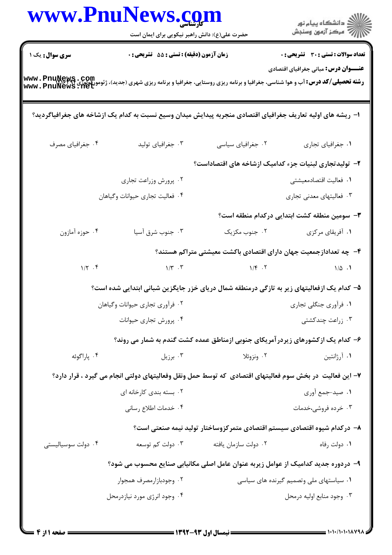|                                                                                                                                                                       | www.PnuNews.com<br>حضرت علی(ع): دانش راهبر نیکویی برای ایمان است                                            |                      | ر<br>دانشڪاه پيام نور)<br>ا∛ مرڪز آزمون وسنڊش                            |
|-----------------------------------------------------------------------------------------------------------------------------------------------------------------------|-------------------------------------------------------------------------------------------------------------|----------------------|--------------------------------------------------------------------------|
| <b>سری سوال :</b> یک ۱                                                                                                                                                | زمان آزمون (دقیقه) : تستی : 55 آتشریحی : 0                                                                  |                      | <b>تعداد سوالات : تستی : 30 - تشریحی : 0</b>                             |
| <b>رشته تحصیلی/کد درس: آ</b> ب و هوا شناسی، جغرافیا و برنامه ریزی روستایی، جغرافیا و برنامه ریزی شهری (جدید)، ژئومورفولوژی www . PnuNews . Net<br>www . PnuNews . Net |                                                                                                             |                      | <b>عنـــوان درس:</b> مبانی جغرافیای اقتصادی                              |
|                                                                                                                                                                       | ا– ریشه های اولیه تعاریف جغرافیای اقتصادی منجربه پیدایش میدان وسیع نسبت به کدام یک ازشاخه های جغرافیاگردید؟ |                      |                                                                          |
| ۰۴ جغرافیای مصرف                                                                                                                                                      | ۰۳ جغرافیای تولید                                                                                           | ۰۲ جغرافیای سیاسی    | ٠١. جغرافياي تجاري                                                       |
|                                                                                                                                                                       |                                                                                                             |                      | ۲– تولیدتجاری لبنیات جزء کدامیک ازشاخه های اقتصاداست؟                    |
|                                                                                                                                                                       | ۰۲ پرورش وزراعت تجاری                                                                                       |                      | ٠١ فعاليت اقتصادمعيشتي                                                   |
|                                                                                                                                                                       | ۰۴ فعالیت تجاری حیوانات وگیاهان                                                                             |                      | ۰۳ فعالیتهای معدنی تجاری                                                 |
|                                                                                                                                                                       |                                                                                                             |                      | <b>۳</b> - سومین منطقه کشت ابتدایی درکدام منطقه است؟                     |
| ۰۴ حوزه أمازون                                                                                                                                                        | ۰۳ جنوب شرق آسیا                                                                                            | ۰۲ جنوب مکزیک        | ۰۱ آفریقای مرکزی                                                         |
|                                                                                                                                                                       |                                                                                                             |                      | ۴– چه تعدادازجمعیت جهان دارای اقتصادی باکشت معیشتی متراکم هستند؟         |
| $1/\Upsilon$ .                                                                                                                                                        | $\gamma/\tau$ . $\tau$                                                                                      | $1/F$ .              | $1/\Delta$ .                                                             |
|                                                                                                                                                                       | ۵– کدام یک ازفعالیتهای زیر به تازگی درمنطقه شمال دریای خزر جایگزین شبانی ابتدایی شده است؟                   |                      |                                                                          |
|                                                                                                                                                                       | ۰۲ فرآوری تجاری حیوانات وگیاهان                                                                             |                      | ۰۱ فرآوری جنگلی تجاری                                                    |
|                                                                                                                                                                       | ۰۴ پرورش تجاری حیوانات                                                                                      |                      | ۰۳ زراعت چندکشتی                                                         |
|                                                                                                                                                                       | ۶- کدام یک ازکشورهای زیردرآمریکای جنوبی ازمناطق عمده کشت گندم به شمار می روند؟                              |                      |                                                                          |
| ۰۴ پاراگوئه                                                                                                                                                           | ۰۳ برزیل                                                                                                    | ۰۲ ونزوئلا           | ۰۱ آرژانتین                                                              |
|                                                                                                                                                                       | ۷– این فعالیت  در بخش سوم فعالیتهای اقتصادی  که توسط حمل ونقل وفعالیتهای دولتی انجام می گیرد ، قرار دارد؟   |                      |                                                                          |
|                                                                                                                                                                       | ۲. بسته بندی کارخانه ای                                                                                     |                      | ١. صيد-جمع أوري                                                          |
|                                                                                                                                                                       | ۰۴ خدمات اطلاع رساني                                                                                        |                      | ۰۳ خرده فروشی،خدمات                                                      |
|                                                                                                                                                                       |                                                                                                             |                      | ۸– درکدام شیوه اقتصادی سیستم اقتصادی متمرکزوساختار تولید نیمه صنعتی است؟ |
| ۰۴ دولت سوسیالیستی                                                                                                                                                    | ۰۳ دولت کم توسعه                                                                                            | ٠٢ دولت سازمان يافته | ۰۱ دولت رفاه                                                             |
|                                                                                                                                                                       | ۹– دردوره جدید کدامیک از عوامل زیربه عنوان عامل اصلی مکانیابی صنایع محسوب می شود؟                           |                      |                                                                          |
|                                                                                                                                                                       | ۰۲ وجودبازارمصرف همجوار                                                                                     |                      | ۰۱ سیاستهای ملی وتصمیم گیرنده های سیاسی                                  |
|                                                                                                                                                                       | ۰۴ وجود انرژی مورد نیازدرمحل                                                                                |                      | ۰۳ وجود منابع اوليه درمحل                                                |
|                                                                                                                                                                       |                                                                                                             |                      |                                                                          |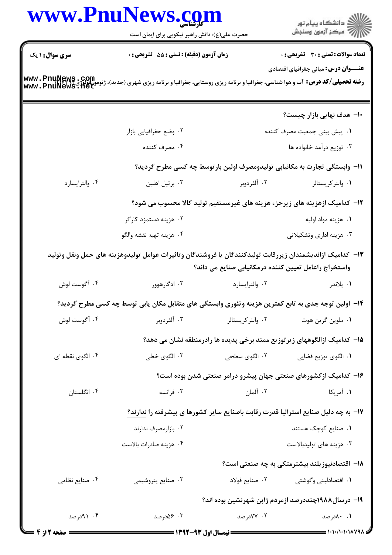|                        | www.PnuNews.com                               |                                                       | ر<br>دانشڪاه پيام نور)<br>سرڪز آزمون وسنڊش                                                                                                       |  |
|------------------------|-----------------------------------------------|-------------------------------------------------------|--------------------------------------------------------------------------------------------------------------------------------------------------|--|
|                        | حضرت علی(ع): دانش راهبر نیکویی برای ایمان است |                                                       |                                                                                                                                                  |  |
| <b>سری سوال :</b> ۱ یک | زمان آزمون (دقیقه) : تستی : 55 تشریحی : 0     |                                                       | <b>تعداد سوالات : تستي : 30 ٪ تشريحي : 0</b>                                                                                                     |  |
|                        |                                               |                                                       | <b>عنـــوان درس:</b> مبانی جغرافیای اقتصادی                                                                                                      |  |
|                        |                                               |                                                       | <b>رشته تحصیلی/کد درس:</b> آب و هوا شناسی، جغرافیا و برنامه ریزی روستایی، جغرافیا و برنامه ریزی شهری (جدید)، ژئومورفولوژی<br>www . PnuNews . Het |  |
|                        |                                               |                                                       |                                                                                                                                                  |  |
|                        |                                               |                                                       | ∙۱۔ هدف نهایی بازار چیست؟                                                                                                                        |  |
|                        | ۰۲ وضع جغرافیایی بازار                        |                                                       | ۰۱ پیش بینی جمعیت مصرف کننده                                                                                                                     |  |
|                        | ۰۴ مصرف كننده                                 |                                                       | ۰۳ توزیع درآمد خانواده ها                                                                                                                        |  |
|                        |                                               |                                                       | 1۱– وابستگی تجارت به مکانیابی تولیدومصرف اولین بارتوسط چه کسی مطرح گردید؟                                                                        |  |
| ۰۴ والترايسارد         | ۰۳ برتیل اهلین                                | ۰۲ آلفردوبر                                           | ٠١ والتركريستالر                                                                                                                                 |  |
|                        |                                               |                                                       | ۱۲– کدامیک ازهزینه های زیرجزء هزینه های غیرمستقیم تولید کالا محسوب می شود؟                                                                       |  |
|                        | ۰۲ هزینه دستمزد کارگر                         |                                                       | ٠١ هزينه مواد اوليه                                                                                                                              |  |
|                        | ۰۴ هزينه تهيه نقشه والگو                      |                                                       | ۰۳ هزینه اداری وتشکیلاتی                                                                                                                         |  |
|                        |                                               |                                                       | ۱۳– کدامیک ازاندیشمندان زیررقابت تولیدکنندگان یا فروشندگان وتاثیرات عوامل تولیدوهزینه های حمل ونقل وتولید                                        |  |
|                        |                                               | واستخراج راعامل تعيين كننده درمكانيابي صنايع مى داند؟ |                                                                                                                                                  |  |
| ۰۴ آگوست لوش           | ۰۳ ادگارهوور                                  | ٠٢ والترايسارد                                        | ۰۱ پلاندر                                                                                                                                        |  |
|                        |                                               |                                                       | ۱۴– اولین توجه جدی به تابع کمترین هزینه وتئوری وابستگی های متقابل مکان یابی توسط چه کسی مطرح گردید؟                                              |  |
| ۰۴ آگوست لوش           | ۰۳ آلفردوبر                                   | ۰۲ والتر کریستالر                                     | ٠١ ملوين گرين هوت                                                                                                                                |  |
|                        |                                               |                                                       | ۱۵– کدامیک ازالگوههای زیر توزیع ممتد برخی پدیده ها رادرمنطقه نشان می دهد؟                                                                        |  |
| ۰۴ الگوی نقطه ای       | ۰۳ الگوی خطی                                  | ۰۲ الگوی سطحی                                         | ٠١. الگوى توزيع فضايي                                                                                                                            |  |
|                        |                                               |                                                       | ۱۶– کدامیک ازکشورهای صنعتی جهان پیشرو درامر صنعتی شدن بوده است؟                                                                                  |  |
| ۰۴ انگلستان            | ۰۳ فرانسه                                     | ۰۲ آلمان                                              | ۰۱ آمریکا                                                                                                                                        |  |
|                        |                                               |                                                       | ۱۷- به چه دلیل صنایع استرالیا قدرت رقابت باصنایع سایر کشورها ی پیشرفته را ندارند؟                                                                |  |
|                        | ۰۲ بازارمصرف ندارند                           |                                                       | ۰۱ صنایع کوچک هستند                                                                                                                              |  |
|                        | ۰۴ هزينه صادرات بالاست                        |                                                       | ۰۳ هزينه هاي توليدبالاست                                                                                                                         |  |
|                        |                                               |                                                       | ۱۸– اقتصادنیوزیلند بیشترمتکی به چه صنعتی است؟                                                                                                    |  |
| ۰۴ صنایع نظامی         | ۰۳ صنایع پتروشیمی                             | ۰۲ صنایع فولاد                                        | ۰۱ اقتصادلبنی وگوشتی                                                                                                                             |  |
|                        |                                               |                                                       |                                                                                                                                                  |  |
|                        |                                               |                                                       | ۱۹- درسال۱۹۸۸چنددرصد ازمردم ژاپن شهرنشین بوده اند؟                                                                                               |  |
| ۰۴ (۹۱ مرصد            | ۰۳ ۵۶ مدرصد                                   | ۰۲ ۷۷درصد                                             | ۰.۱ ۸۰درصد                                                                                                                                       |  |
| <b>ـــ صفحه 12ز 4</b>  |                                               | ـــــــــــــ نیمسال اول ۹۳-۱۳۹۲ ــــــ               |                                                                                                                                                  |  |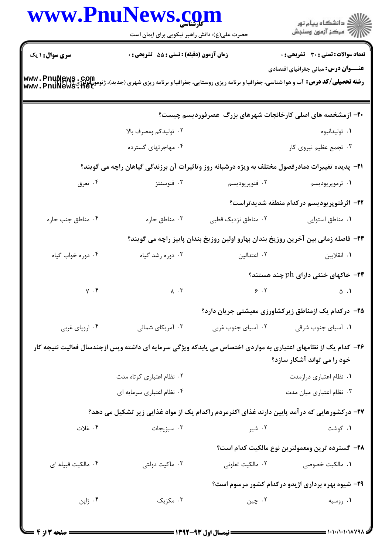|                        | حضرت علی(ع): دانش راهبر نیکویی برای ایمان است |                     | ر<br>راڪ دانشڪاه پيام نور<br>راڪ مرڪز آزمون وسنڊش                                                                                                                                                                           |  |
|------------------------|-----------------------------------------------|---------------------|-----------------------------------------------------------------------------------------------------------------------------------------------------------------------------------------------------------------------------|--|
| <b>سری سوال : ۱ یک</b> | زمان آزمون (دقیقه) : تستی : 55 آتشریحی : 0    |                     | <b>تعداد سوالات : تستی : 30 ٪ تشریحی : 0</b>                                                                                                                                                                                |  |
|                        |                                               |                     | <b>عنـــوان درس:</b> مبانی جغرافیای اقتصادی<br><b>رشته تحصیلی/کد درس:</b> آب و هوا شناسی، جغرافیا و برنامه ریزی روستایی، جغرافیا و برنامه ریزی شهری (جدید)، ژئومورفولوژی <b>www . PnuNews . Com</b><br>www . PnuNews . 11et |  |
|                        |                                               |                     | ۲۰- ازمشخصه های اصلی کارخانجات شهرهای بزرگ عصرفوردیسم چیست؟                                                                                                                                                                 |  |
|                        | ۰۲ تولیدکم ومصرف بالا                         |                     | ۰۱ تولیدانبوه                                                                                                                                                                                                               |  |
|                        | ۰۴ مهاجرتهای گسترده                           |                     | ۰۳ تجمع عظیم نیروی کار                                                                                                                                                                                                      |  |
|                        |                                               |                     | <b>۲۱</b> - پدیده تغییرات دمادرفصول مختلف به ویژه درشبانه روز وتاثیرات آن برزندگی گیاهان راچه می گویند؟                                                                                                                     |  |
| ۰۴ تعرق                | ۰۳ فتوسنتز                                    | ۰۲ فتوپريوديسم      | ۰۱ ترموپريوديسم                                                                                                                                                                                                             |  |
|                        |                                               |                     | ۲۲- اثرفتوپریودیسم درکدام منطقه شدیدتراست؟                                                                                                                                                                                  |  |
| ۰۴ مناطق جنب حاره      | ۰۳ مناطق حاره                                 | ۰۲ مناطق نزدیک قطبی | ٠١. مناطق استوايي                                                                                                                                                                                                           |  |
|                        |                                               |                     | ٢٣- فاصله زمانی بین آخرین روزیخ بندان بهارو اولین روزیخ بندان پاییز راچه می گویند؟                                                                                                                                          |  |
| ۰۴ دوره خواب گیاه      | ۰۳ دوره رشد گیاه                              | ۰۲ اعتدالین         | ۰۱ انقلابین                                                                                                                                                                                                                 |  |
|                        |                                               |                     | ۴۴– خاکهای خنثی دارای ph چند هستند؟                                                                                                                                                                                         |  |
| $\gamma$ . $\gamma$    | $\lambda \cdot \mathbf{v}$                    |                     | $\epsilon$ . T<br>$\Delta$ . 1                                                                                                                                                                                              |  |
|                        |                                               |                     | ۲۵– درکدام یک ازمناطق زیرکشاورزی معیشتی جریان دارد؟                                                                                                                                                                         |  |
| ۰۴ اروپای غربی         | ۰۳ آمریکای شمالی                              | ۰۲ آسیای جنوب غربی  | ۰۱ آسیای جنوب شرقی                                                                                                                                                                                                          |  |
|                        |                                               |                     | ۲۶– کدام یک از نظامهای اعتباری به مواردی اختصاص می یابدکه ویژگی سرمایه ای داشته وپس ازچندسال فعالیت نتیجه کار<br>خود را می تواند آشکار سازد؟                                                                                |  |
|                        | ۰۲ نظام اعتباری کوتاه مدت                     |                     | ٠١ نظام اعتباري درازمدت                                                                                                                                                                                                     |  |
|                        | ۰۴ نظام اعتباري سرمايه اي                     |                     | ۰۳ نظام اعتباري ميان مدت                                                                                                                                                                                                    |  |
|                        |                                               |                     | ۲۷– درکشورهایی که در آمد پایین دارند غذای اکثرمردم راکدام یک از مواد غذایی زیر تشکیل می دهد؟                                                                                                                                |  |
| ۰۴ غلات                | ۰۳ سبزیجات                                    | ۰۲ شیر              | ۰۱ گوشت                                                                                                                                                                                                                     |  |
|                        |                                               |                     | ٢٨- گسترده ترين ومعمولترين نوع مالكيت كدام است؟                                                                                                                                                                             |  |
| ۰۴ مالکیت قبیله ای     | ۰۳ ماکیت دولتی                                | ۰۲ مالکیت تعاونی    | ۰۱ مالکیت خصوصی                                                                                                                                                                                                             |  |
|                        |                                               |                     | ۲۹- شیوه بهره برداری اژیدو درکدام کشور مرسوم است؟                                                                                                                                                                           |  |
| ۰۴ ژاپن                | ۰۳ مکزیک                                      | ۰۲ چين              | ۰۱ روسیه                                                                                                                                                                                                                    |  |